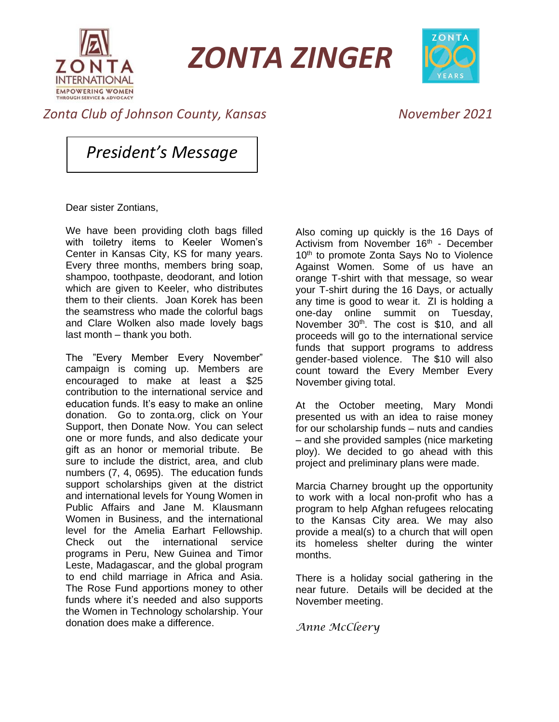

*ZONTA ZINGER*



## *Zonta Club of Johnson County, Kansas November 2021*

*President's Message*

Dear sister Zontians,

We have been providing cloth bags filled with toiletry items to Keeler Women's Center in Kansas City, KS for many years. Every three months, members bring soap, shampoo, toothpaste, deodorant, and lotion which are given to Keeler, who distributes them to their clients. Joan Korek has been the seamstress who made the colorful bags and Clare Wolken also made lovely bags last month – thank you both.

The "Every Member Every November" campaign is coming up. Members are encouraged to make at least a \$25 contribution to the international service and education funds. It's easy to make an online donation. Go to zonta.org, click on Your Support, then Donate Now. You can select one or more funds, and also dedicate your gift as an honor or memorial tribute. Be sure to include the district, area, and club numbers (7, 4, 0695). The education funds support scholarships given at the district and international levels for Young Women in Public Affairs and Jane M. Klausmann Women in Business, and the international level for the Amelia Earhart Fellowship. Check out the international service programs in Peru, New Guinea and Timor Leste, Madagascar, and the global program to end child marriage in Africa and Asia. The Rose Fund apportions money to other funds where it's needed and also supports the Women in Technology scholarship. Your donation does make a difference.

Also coming up quickly is the 16 Days of Activism from November 16<sup>th</sup> - December 10<sup>th</sup> to promote Zonta Says No to Violence Against Women. Some of us have an orange T-shirt with that message, so wear your T-shirt during the 16 Days, or actually any time is good to wear it. ZI is holding a one-day online summit on Tuesday, November 30<sup>th</sup>. The cost is \$10, and all proceeds will go to the international service funds that support programs to address gender-based violence. The \$10 will also count toward the Every Member Every November giving total.

At the October meeting, Mary Mondi presented us with an idea to raise money for our scholarship funds – nuts and candies – and she provided samples (nice marketing ploy). We decided to go ahead with this project and preliminary plans were made.

Marcia Charney brought up the opportunity to work with a local non-profit who has a program to help Afghan refugees relocating to the Kansas City area. We may also provide a meal(s) to a church that will open its homeless shelter during the winter months.

There is a holiday social gathering in the near future. Details will be decided at the November meeting.

*Anne McCleery*